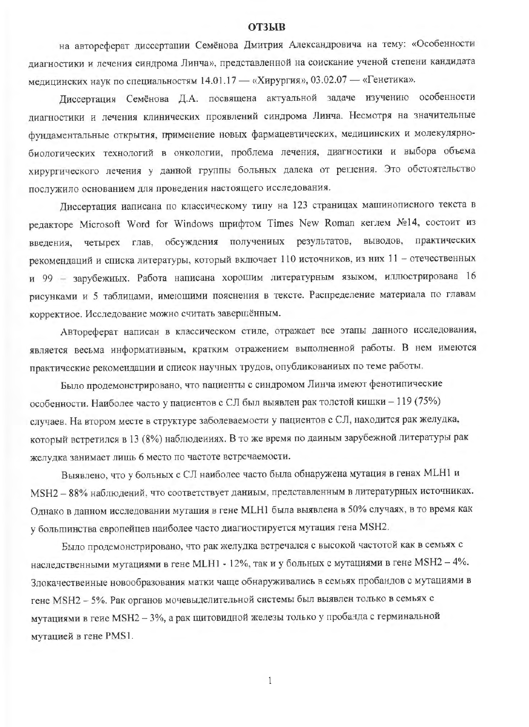## **ОТЗЫВ**

на автореферат диссертации Семёнова Дмитрия Александровича на тему: «Особенности диагностики и лечения синдрома Линча», представленной на соискание ученой степени кандидата медицинских наук по специальностям 14.01.17 - «Хирургия», 03.02.07 - «Генетика».

Диссертация Семёнова Д.А. посвящена актуальной задаче изучению особенности диагностики и лечения клинических проявлений синдрома Линча. Несмотря на значительные фундаментальные открытия, применение новых фармацевтических, медицинских и молекулярнобиологических технологий в онкологии, проблема лечения, диагностики и выбора объема хирургического лечения у данной группы больных далека от решения. Это обстоятельство послужило основанием для проведения настоящего исследования.

Диссертация иаписана по классическому типу на 123 страницах машинописного текста в редакторе Microsoft Word for Windows шрифтом Times New Roman кеглем №14, состоит из введения, четырех глав, обсуждения получениых результатов, выводов, практических рекомендаций и списка литературы, который включает 110 источников, из них 11 - отечественных и 99 - зарубежных. Работа написана хорошим литературным языком, иллюстрирована 16 рисунками и 5 таблицами, имеющими пояснения в тексте. Распределение материала по главам корректиое. Исследование можно считать завершённым.

Автореферат написан в классическом стиле, отражает все этапы данного исследования, является весьма информативным, кратким отражением выполненной работы. В нем имеются практические рекомендации и список научных трудов, опубликованиых по теме работы.

Было продемонстрировано, что пациенты с синдромом Линча имеют фенотипические особенности. Наиболее часто у пациентов с СЛ был выявлен рак толстой кишки - 119 (75%) случаев. На втором месте в структуре заболеваемости у пациентов с СЛ, находится рак желудка, который встретился в 13 (8%) наблюдениях. В то же время по даиным зарубежной литературы рак желудка занимает лищь 6 место по частоте встречаемости.

Выявлено, что у больных с СЛ наиболее часто была обнаружена мутация в генах МLН1 и MSH2 - 88% наблюдений, что соответствует даниым, представленным в литературных источниках. Однако в данном исследовании мутация в гене МLН1 была выявлена в 50% случаях, в то время как у большинства европейцев наиболее часто диагиостируется мутация гена MSH2.

Было продемонстрировано, что рак желудка встречался с высокой частотой как в семьях с наследственными мутациями в гене МLH1 - 12%, так и у больных с мутациями в гене МSH2 - 4%. Злокачественные новообразования матки чаще обнаруживались в семьях пробандов с мутациями в гене MSH2 - 5%. Рак органов мочевыделительной системы был выявлен только в семьях с мутациями в геие MSH2 - 3%, а рак щитовидной железы только у пробанда с герминальной мутацией в гене PMS1.

 $\mathbf{1}$